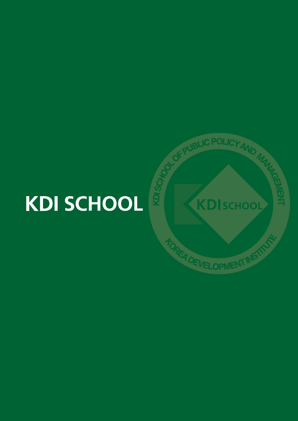# **KDI SCHOOL**

**ALIC POLICY** 

KDISCHOOL

A DEVELOPMENT IN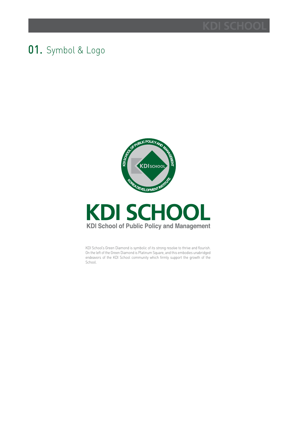### 01. Symbol & Logo



## **KDI SCHOOL KDI School of Public Policy and Management**

KDI School's Green Diamond is symbolic of its strong resolve to thrive and flourish. On the left of the Green Diamond is Platinum Square, and this embodies unabridged endeavors of the KDI School community which firmly support the growth of the School.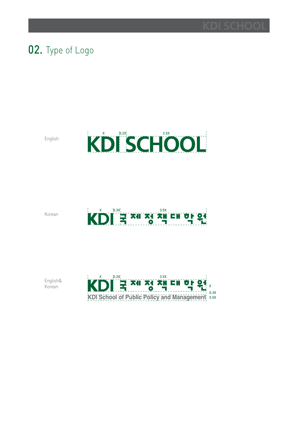

### 02. Type of Logo

English



Korean

# $K\dot{\text{D}}\dot{\text{D}}$  =  $\frac{x_1}{3}$   $\frac{x_2}{3}$   $\frac{x_3}{3}$   $\frac{x_4}{3}$   $\frac{x_5}{3}$   $\frac{x_6}{3}$   $\frac{x_7}{3}$   $\frac{x_8}{3}$

English& Korean

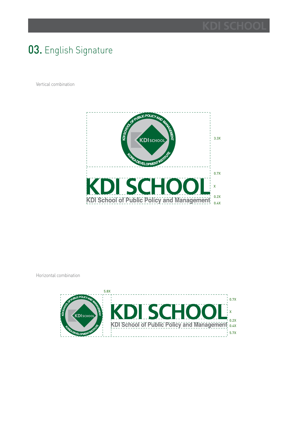### 03. English Signature

Vertical combination



Horizontal combination

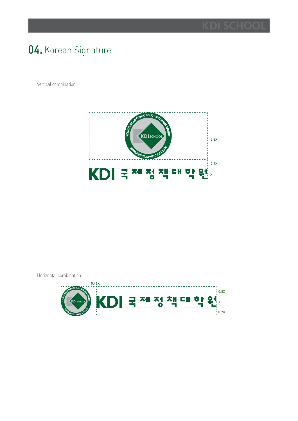### 04. Korean Signature

Vertical combination



Horizontal combination

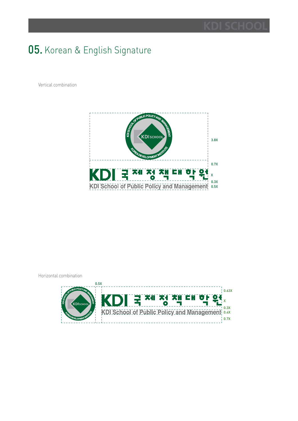### 05. Korean & English Signature

Vertical combination



Horizontal combination

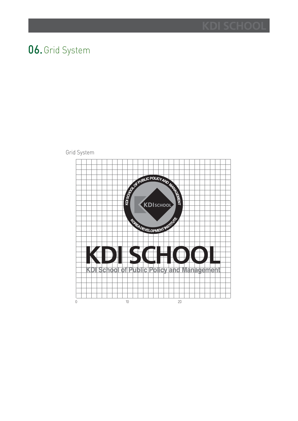### 06.Grid System

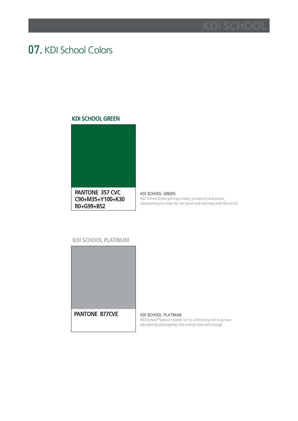### 07. KDI School Colors

### **KDI SCHOOL GREEN**



KDI SCHOOL GREEN KDI School Green portrays vitality, prosperity and peace, representing its vision for the future and harmony with the world.

### **KDI SCHOOL PLATINUM**



KDI SCHOOL PLATINUM KDI School Platinum stands for its unflinching will to pursue educational philosophies that endure time and change.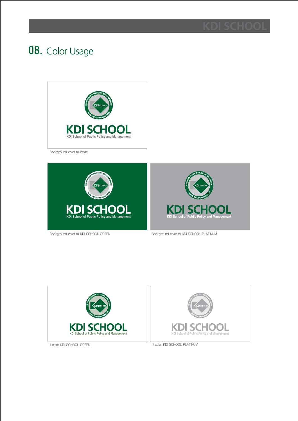

## 08. Color Usage



Background color to White





Background color to KDI SCHOOL GREEN Background color to KDI SCHOOL PLATINUM



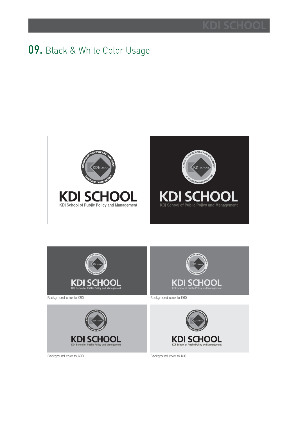### 09. Black & White Color Usage